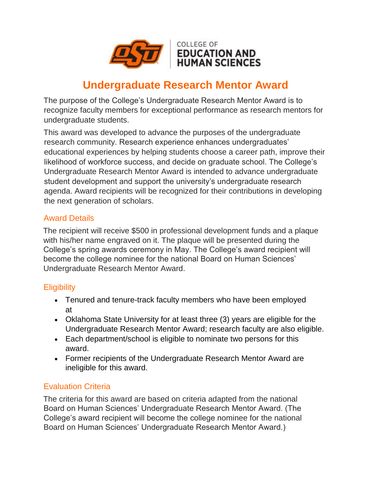

# **Undergraduate Research Mentor Award**

The purpose of the College's Undergraduate Research Mentor Award is to recognize faculty members for exceptional performance as research mentors for undergraduate students.

This award was developed to advance the purposes of the undergraduate research community. Research experience enhances undergraduates' educational experiences by helping students choose a career path, improve their likelihood of workforce success, and decide on graduate school. The College's Undergraduate Research Mentor Award is intended to advance undergraduate student development and support the university's undergraduate research agenda. Award recipients will be recognized for their contributions in developing the next generation of scholars.

#### Award Details

The recipient will receive \$500 in professional development funds and a plaque with his/her name engraved on it. The plaque will be presented during the College's spring awards ceremony in May. The College's award recipient will become the college nominee for the national Board on Human Sciences' Undergraduate Research Mentor Award.

#### **Eligibility**

- Tenured and tenure-track faculty members who have been employed at
- Oklahoma State University for at least three (3) years are eligible for the Undergraduate Research Mentor Award; research faculty are also eligible.
- Each department/school is eligible to nominate two persons for this award.
- Former recipients of the Undergraduate Research Mentor Award are ineligible for this award.

## Evaluation Criteria

The criteria for this award are based on criteria adapted from the national Board on Human Sciences' Undergraduate Research Mentor Award. (The College's award recipient will become the college nominee for the national Board on Human Sciences' Undergraduate Research Mentor Award.)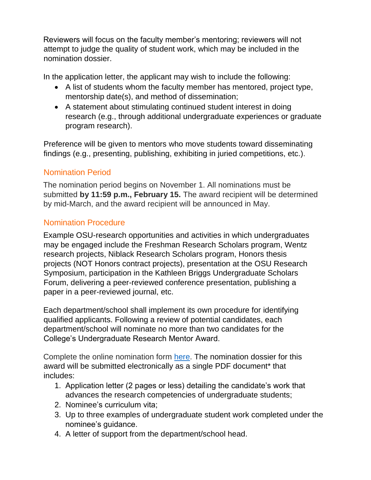Reviewers will focus on the faculty member's mentoring; reviewers will not attempt to judge the quality of student work, which may be included in the nomination dossier.

In the application letter, the applicant may wish to include the following:

- A list of students whom the faculty member has mentored, project type, mentorship date(s), and method of dissemination;
- A statement about stimulating continued student interest in doing research (e.g., through additional undergraduate experiences or graduate program research).

Preference will be given to mentors who move students toward disseminating findings (e.g., presenting, publishing, exhibiting in juried competitions, etc.).

## Nomination Period

The nomination period begins on November 1. All nominations must be submitted **by 11:59 p.m., February 15.** The award recipient will be determined by mid-March, and the award recipient will be announced in May.

## Nomination Procedure

Example OSU-research opportunities and activities in which undergraduates may be engaged include the Freshman Research Scholars program, Wentz research projects, Niblack Research Scholars program, Honors thesis projects (NOT Honors contract projects), presentation at the OSU Research Symposium, participation in the Kathleen Briggs Undergraduate Scholars Forum, delivering a peer-reviewed conference presentation, publishing a paper in a peer-reviewed journal, etc.

Each department/school shall implement its own procedure for identifying qualified applicants. Following a review of potential candidates, each department/school will nominate no more than two candidates for the College's Undergraduate Research Mentor Award.

Complete the online nomination form [here.](https://education.okstate.edu/faculty-staff-resources/faculty-award-announcements-nomination-submissions.html) The nomination dossier for this award will be submitted electronically as a single PDF document\* that includes:

- 1. Application letter (2 pages or less) detailing the candidate's work that advances the research competencies of undergraduate students;
- 2. Nominee's curriculum vita;
- 3. Up to three examples of undergraduate student work completed under the nominee's guidance.
- 4. A letter of support from the department/school head.